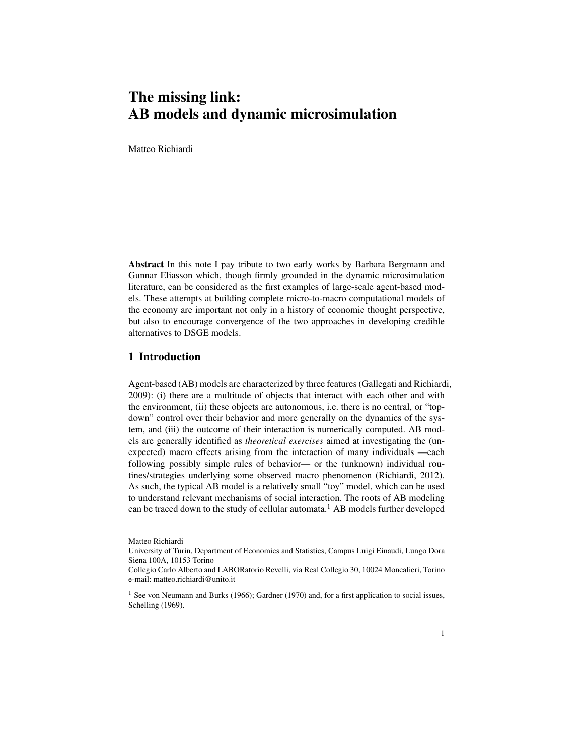# The missing link: AB models and dynamic microsimulation

Matteo Richiardi

Abstract In this note I pay tribute to two early works by Barbara Bergmann and Gunnar Eliasson which, though firmly grounded in the dynamic microsimulation literature, can be considered as the first examples of large-scale agent-based models. These attempts at building complete micro-to-macro computational models of the economy are important not only in a history of economic thought perspective, but also to encourage convergence of the two approaches in developing credible alternatives to DSGE models.

### 1 Introduction

Agent-based (AB) models are characterized by three features (Gallegati and Richiardi, 2009): (i) there are a multitude of objects that interact with each other and with the environment, (ii) these objects are autonomous, i.e. there is no central, or "topdown" control over their behavior and more generally on the dynamics of the system, and (iii) the outcome of their interaction is numerically computed. AB models are generally identified as *theoretical exercises* aimed at investigating the (unexpected) macro effects arising from the interaction of many individuals —each following possibly simple rules of behavior— or the (unknown) individual routines/strategies underlying some observed macro phenomenon (Richiardi, 2012). As such, the typical AB model is a relatively small "toy" model, which can be used to understand relevant mechanisms of social interaction. The roots of AB modeling can be traced down to the study of cellular automata.<sup>1</sup> AB models further developed

Matteo Richiardi

University of Turin, Department of Economics and Statistics, Campus Luigi Einaudi, Lungo Dora Siena 100A, 10153 Torino

Collegio Carlo Alberto and LABORatorio Revelli, via Real Collegio 30, 10024 Moncalieri, Torino e-mail: matteo.richiardi@unito.it

<sup>&</sup>lt;sup>1</sup> See von Neumann and Burks (1966); Gardner (1970) and, for a first application to social issues, Schelling (1969).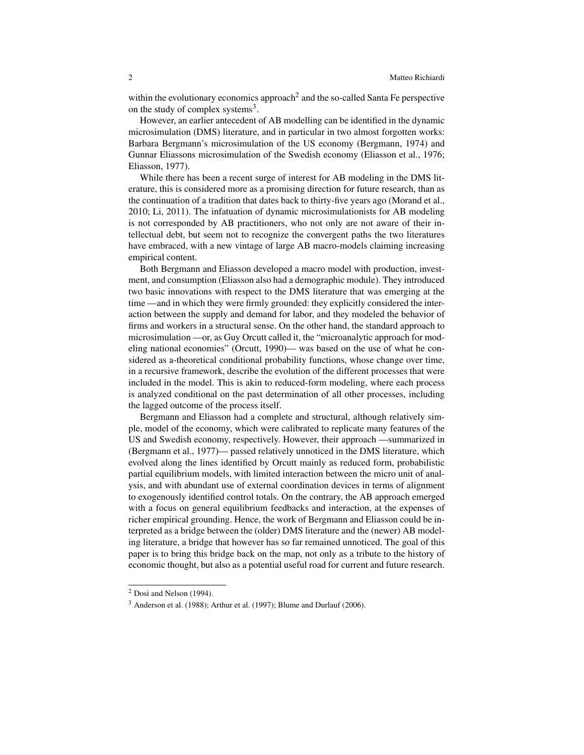within the evolutionary economics approach<sup>2</sup> and the so-called Santa Fe perspective on the study of complex systems<sup>3</sup>.

However, an earlier antecedent of AB modelling can be identified in the dynamic microsimulation (DMS) literature, and in particular in two almost forgotten works: Barbara Bergmann's microsimulation of the US economy (Bergmann, 1974) and Gunnar Eliassons microsimulation of the Swedish economy (Eliasson et al., 1976; Eliasson, 1977).

While there has been a recent surge of interest for AB modeling in the DMS literature, this is considered more as a promising direction for future research, than as the continuation of a tradition that dates back to thirty-five years ago (Morand et al., 2010; Li, 2011). The infatuation of dynamic microsimulationists for AB modeling is not corresponded by AB practitioners, who not only are not aware of their intellectual debt, but seem not to recognize the convergent paths the two literatures have embraced, with a new vintage of large AB macro-models claiming increasing empirical content.

Both Bergmann and Eliasson developed a macro model with production, investment, and consumption (Eliasson also had a demographic module). They introduced two basic innovations with respect to the DMS literature that was emerging at the time —and in which they were firmly grounded: they explicitly considered the interaction between the supply and demand for labor, and they modeled the behavior of firms and workers in a structural sense. On the other hand, the standard approach to microsimulation —or, as Guy Orcutt called it, the "microanalytic approach for modeling national economies" (Orcutt, 1990)— was based on the use of what he considered as a-theoretical conditional probability functions, whose change over time, in a recursive framework, describe the evolution of the different processes that were included in the model. This is akin to reduced-form modeling, where each process is analyzed conditional on the past determination of all other processes, including the lagged outcome of the process itself.

Bergmann and Eliasson had a complete and structural, although relatively simple, model of the economy, which were calibrated to replicate many features of the US and Swedish economy, respectively. However, their approach —summarized in (Bergmann et al., 1977)— passed relatively unnoticed in the DMS literature, which evolved along the lines identified by Orcutt mainly as reduced form, probabilistic partial equilibrium models, with limited interaction between the micro unit of analysis, and with abundant use of external coordination devices in terms of alignment to exogenously identified control totals. On the contrary, the AB approach emerged with a focus on general equilibrium feedbacks and interaction, at the expenses of richer empirical grounding. Hence, the work of Bergmann and Eliasson could be interpreted as a bridge between the (older) DMS literature and the (newer) AB modeling literature, a bridge that however has so far remained unnoticed. The goal of this paper is to bring this bridge back on the map, not only as a tribute to the history of economic thought, but also as a potential useful road for current and future research.

<sup>2</sup> Dosi and Nelson (1994).

 $3$  Anderson et al. (1988); Arthur et al. (1997); Blume and Durlauf (2006).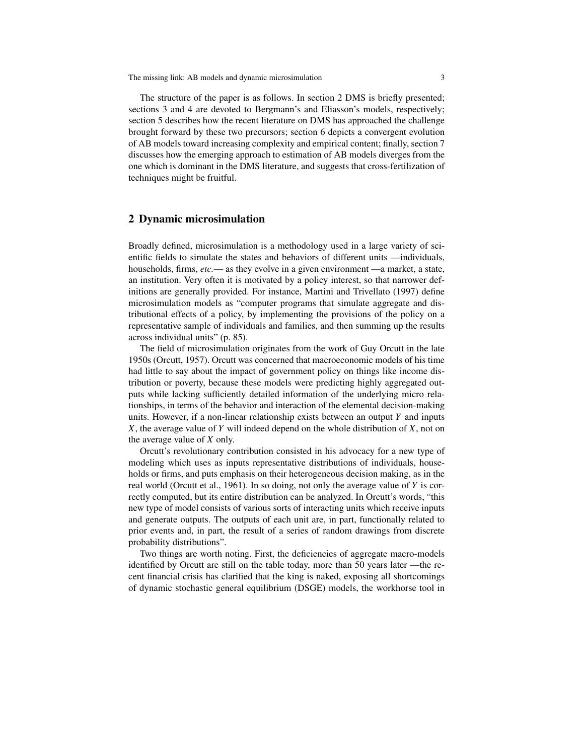The structure of the paper is as follows. In section 2 DMS is briefly presented; sections 3 and 4 are devoted to Bergmann's and Eliasson's models, respectively; section 5 describes how the recent literature on DMS has approached the challenge brought forward by these two precursors; section 6 depicts a convergent evolution of AB models toward increasing complexity and empirical content; finally, section 7 discusses how the emerging approach to estimation of AB models diverges from the one which is dominant in the DMS literature, and suggests that cross-fertilization of techniques might be fruitful.

## 2 Dynamic microsimulation

Broadly defined, microsimulation is a methodology used in a large variety of scientific fields to simulate the states and behaviors of different units —individuals, households, firms, *etc.*— as they evolve in a given environment —a market, a state, an institution. Very often it is motivated by a policy interest, so that narrower definitions are generally provided. For instance, Martini and Trivellato (1997) define microsimulation models as "computer programs that simulate aggregate and distributional effects of a policy, by implementing the provisions of the policy on a representative sample of individuals and families, and then summing up the results across individual units" (p. 85).

The field of microsimulation originates from the work of Guy Orcutt in the late 1950s (Orcutt, 1957). Orcutt was concerned that macroeconomic models of his time had little to say about the impact of government policy on things like income distribution or poverty, because these models were predicting highly aggregated outputs while lacking sufficiently detailed information of the underlying micro relationships, in terms of the behavior and interaction of the elemental decision-making units. However, if a non-linear relationship exists between an output *Y* and inputs *X*, the average value of *Y* will indeed depend on the whole distribution of *X*, not on the average value of *X* only.

Orcutt's revolutionary contribution consisted in his advocacy for a new type of modeling which uses as inputs representative distributions of individuals, households or firms, and puts emphasis on their heterogeneous decision making, as in the real world (Orcutt et al., 1961). In so doing, not only the average value of *Y* is correctly computed, but its entire distribution can be analyzed. In Orcutt's words, "this new type of model consists of various sorts of interacting units which receive inputs and generate outputs. The outputs of each unit are, in part, functionally related to prior events and, in part, the result of a series of random drawings from discrete probability distributions".

Two things are worth noting. First, the deficiencies of aggregate macro-models identified by Orcutt are still on the table today, more than 50 years later —the recent financial crisis has clarified that the king is naked, exposing all shortcomings of dynamic stochastic general equilibrium (DSGE) models, the workhorse tool in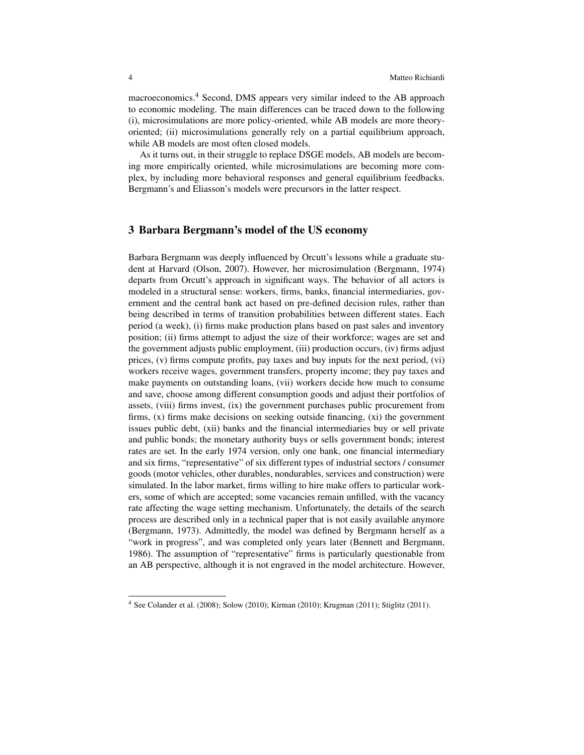macroeconomics.<sup>4</sup> Second, DMS appears very similar indeed to the AB approach to economic modeling. The main differences can be traced down to the following (i), microsimulations are more policy-oriented, while AB models are more theoryoriented; (ii) microsimulations generally rely on a partial equilibrium approach, while AB models are most often closed models.

As it turns out, in their struggle to replace DSGE models, AB models are becoming more empirically oriented, while microsimulations are becoming more complex, by including more behavioral responses and general equilibrium feedbacks. Bergmann's and Eliasson's models were precursors in the latter respect.

## 3 Barbara Bergmann's model of the US economy

Barbara Bergmann was deeply influenced by Orcutt's lessons while a graduate student at Harvard (Olson, 2007). However, her microsimulation (Bergmann, 1974) departs from Orcutt's approach in significant ways. The behavior of all actors is modeled in a structural sense: workers, firms, banks, financial intermediaries, government and the central bank act based on pre-defined decision rules, rather than being described in terms of transition probabilities between different states. Each period (a week), (i) firms make production plans based on past sales and inventory position; (ii) firms attempt to adjust the size of their workforce; wages are set and the government adjusts public employment, (iii) production occurs, (iv) firms adjust prices, (v) firms compute profits, pay taxes and buy inputs for the next period, (vi) workers receive wages, government transfers, property income; they pay taxes and make payments on outstanding loans, (vii) workers decide how much to consume and save, choose among different consumption goods and adjust their portfolios of assets, (viii) firms invest, (ix) the government purchases public procurement from firms, (x) firms make decisions on seeking outside financing, (xi) the government issues public debt, (xii) banks and the financial intermediaries buy or sell private and public bonds; the monetary authority buys or sells government bonds; interest rates are set. In the early 1974 version, only one bank, one financial intermediary and six firms, "representative" of six different types of industrial sectors / consumer goods (motor vehicles, other durables, nondurables, services and construction) were simulated. In the labor market, firms willing to hire make offers to particular workers, some of which are accepted; some vacancies remain unfilled, with the vacancy rate affecting the wage setting mechanism. Unfortunately, the details of the search process are described only in a technical paper that is not easily available anymore (Bergmann, 1973). Admittedly, the model was defined by Bergmann herself as a "work in progress", and was completed only years later (Bennett and Bergmann, 1986). The assumption of "representative" firms is particularly questionable from an AB perspective, although it is not engraved in the model architecture. However,

<sup>4</sup> See Colander et al. (2008); Solow (2010); Kirman (2010); Krugman (2011); Stiglitz (2011).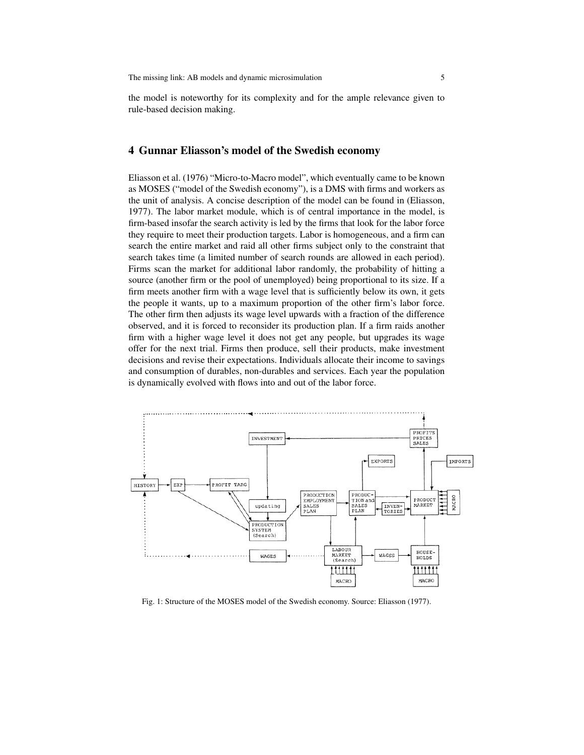the model is noteworthy for its complexity and for the ample relevance given to rule-based decision making.

#### 4 Gunnar Eliasson's model of the Swedish economy

Eliasson et al. (1976) "Micro-to-Macro model", which eventually came to be known as MOSES ("model of the Swedish economy"), is a DMS with firms and workers as the unit of analysis. A concise description of the model can be found in (Eliasson, 1977). The labor market module, which is of central importance in the model, is firm-based insofar the search activity is led by the firms that look for the labor force they require to meet their production targets. Labor is homogeneous, and a firm can search the entire market and raid all other firms subject only to the constraint that search takes time (a limited number of search rounds are allowed in each period). Firms scan the market for additional labor randomly, the probability of hitting a source (another firm or the pool of unemployed) being proportional to its size. If a firm meets another firm with a wage level that is sufficiently below its own, it gets the people it wants, up to a maximum proportion of the other firm's labor force. The other firm then adjusts its wage level upwards with a fraction of the difference observed, and it is forced to reconsider its production plan. If a firm raids another firm with a higher wage level it does not get any people, but upgrades its wage offer for the next trial. Firms then produce, sell their products, make investment decisions and revise their expectations. Individuals allocate their income to savings and consumption of durables, non-durables and services. Each year the population is dynamically evolved with flows into and out of the labor force.



Fig. 1: Structure of the MOSES model of the Swedish economy. Source: Eliasson (1977).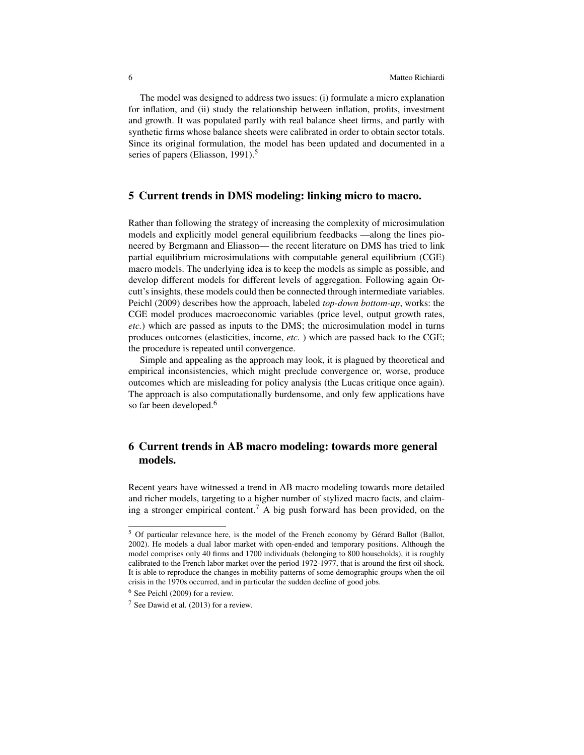The model was designed to address two issues: (i) formulate a micro explanation for inflation, and (ii) study the relationship between inflation, profits, investment and growth. It was populated partly with real balance sheet firms, and partly with synthetic firms whose balance sheets were calibrated in order to obtain sector totals. Since its original formulation, the model has been updated and documented in a series of papers (Eliasson, 1991).<sup>5</sup>

## 5 Current trends in DMS modeling: linking micro to macro.

Rather than following the strategy of increasing the complexity of microsimulation models and explicitly model general equilibrium feedbacks —along the lines pioneered by Bergmann and Eliasson— the recent literature on DMS has tried to link partial equilibrium microsimulations with computable general equilibrium (CGE) macro models. The underlying idea is to keep the models as simple as possible, and develop different models for different levels of aggregation. Following again Orcutt's insights, these models could then be connected through intermediate variables. Peichl (2009) describes how the approach, labeled *top-down bottom-up*, works: the CGE model produces macroeconomic variables (price level, output growth rates, *etc.*) which are passed as inputs to the DMS; the microsimulation model in turns produces outcomes (elasticities, income, *etc.* ) which are passed back to the CGE; the procedure is repeated until convergence.

Simple and appealing as the approach may look, it is plagued by theoretical and empirical inconsistencies, which might preclude convergence or, worse, produce outcomes which are misleading for policy analysis (the Lucas critique once again). The approach is also computationally burdensome, and only few applications have so far been developed.<sup>6</sup>

# 6 Current trends in AB macro modeling: towards more general models.

Recent years have witnessed a trend in AB macro modeling towards more detailed and richer models, targeting to a higher number of stylized macro facts, and claiming a stronger empirical content.<sup>7</sup> A big push forward has been provided, on the

 $5$  Of particular relevance here, is the model of the French economy by Gérard Ballot (Ballot, 2002). He models a dual labor market with open-ended and temporary positions. Although the model comprises only 40 firms and 1700 individuals (belonging to 800 households), it is roughly calibrated to the French labor market over the period 1972-1977, that is around the first oil shock. It is able to reproduce the changes in mobility patterns of some demographic groups when the oil crisis in the 1970s occurred, and in particular the sudden decline of good jobs.

<sup>6</sup> See Peichl (2009) for a review.

 $<sup>7</sup>$  See Dawid et al. (2013) for a review.</sup>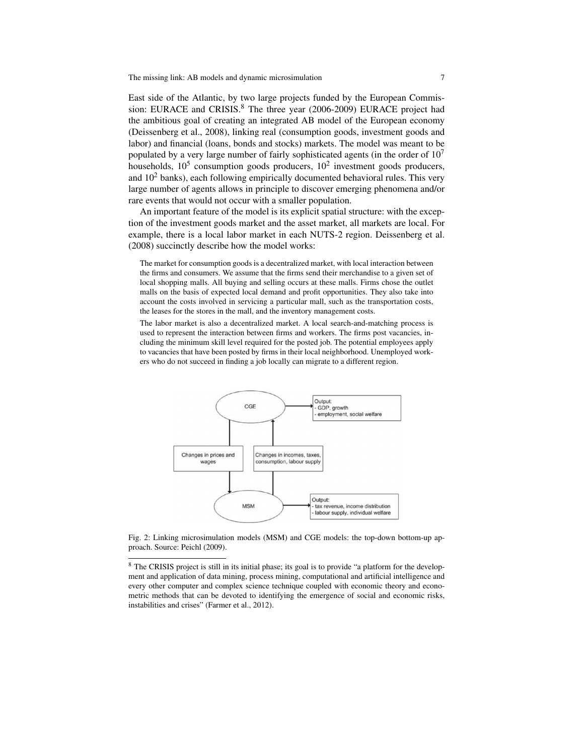East side of the Atlantic, by two large projects funded by the European Commission: EURACE and CRISIS.<sup>8</sup> The three year (2006-2009) EURACE project had the ambitious goal of creating an integrated AB model of the European economy (Deissenberg et al., 2008), linking real (consumption goods, investment goods and labor) and financial (loans, bonds and stocks) markets. The model was meant to be populated by a very large number of fairly sophisticated agents (in the order of  $10<sup>7</sup>$ households,  $10^5$  consumption goods producers,  $10^2$  investment goods producers, and  $10<sup>2</sup>$  banks), each following empirically documented behavioral rules. This very large number of agents allows in principle to discover emerging phenomena and/or rare events that would not occur with a smaller population.

An important feature of the model is its explicit spatial structure: with the exception of the investment goods market and the asset market, all markets are local. For example, there is a local labor market in each NUTS-2 region. Deissenberg et al. (2008) succinctly describe how the model works:

The market for consumption goods is a decentralized market, with local interaction between the firms and consumers. We assume that the firms send their merchandise to a given set of local shopping malls. All buying and selling occurs at these malls. Firms chose the outlet malls on the basis of expected local demand and profit opportunities. They also take into account the costs involved in servicing a particular mall, such as the transportation costs, the leases for the stores in the mall, and the inventory management costs.

The labor market is also a decentralized market. A local search-and-matching process is used to represent the interaction between firms and workers. The firms post vacancies, including the minimum skill level required for the posted job. The potential employees apply to vacancies that have been posted by firms in their local neighborhood. Unemployed workers who do not succeed in finding a job locally can migrate to a different region.



Fig. 2: Linking microsimulation models (MSM) and CGE models: the top-down bottom-up approach. Source: Peichl (2009).

<sup>8</sup> The CRISIS project is still in its initial phase; its goal is to provide "a platform for the development and application of data mining, process mining, computational and artificial intelligence and every other computer and complex science technique coupled with economic theory and econometric methods that can be devoted to identifying the emergence of social and economic risks, instabilities and crises" (Farmer et al., 2012).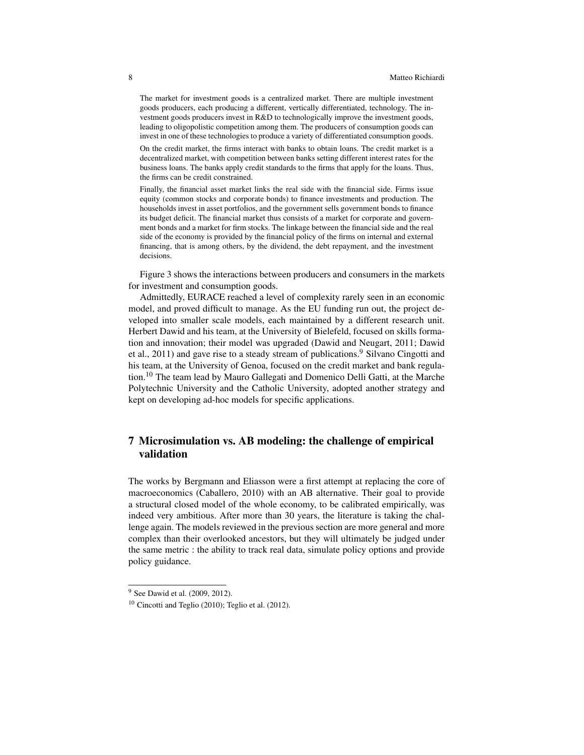The market for investment goods is a centralized market. There are multiple investment goods producers, each producing a different, vertically differentiated, technology. The investment goods producers invest in R&D to technologically improve the investment goods, leading to oligopolistic competition among them. The producers of consumption goods can invest in one of these technologies to produce a variety of differentiated consumption goods.

On the credit market, the firms interact with banks to obtain loans. The credit market is a decentralized market, with competition between banks setting different interest rates for the business loans. The banks apply credit standards to the firms that apply for the loans. Thus, the firms can be credit constrained.

Finally, the financial asset market links the real side with the financial side. Firms issue equity (common stocks and corporate bonds) to finance investments and production. The households invest in asset portfolios, and the government sells government bonds to finance its budget deficit. The financial market thus consists of a market for corporate and government bonds and a market for firm stocks. The linkage between the financial side and the real side of the economy is provided by the financial policy of the firms on internal and external financing, that is among others, by the dividend, the debt repayment, and the investment decisions.

Figure 3 shows the interactions between producers and consumers in the markets for investment and consumption goods.

Admittedly, EURACE reached a level of complexity rarely seen in an economic model, and proved difficult to manage. As the EU funding run out, the project developed into smaller scale models, each maintained by a different research unit. Herbert Dawid and his team, at the University of Bielefeld, focused on skills formation and innovation; their model was upgraded (Dawid and Neugart, 2011; Dawid et al., 2011) and gave rise to a steady stream of publications.<sup>9</sup> Silvano Cingotti and his team, at the University of Genoa, focused on the credit market and bank regulation.<sup>10</sup> The team lead by Mauro Gallegati and Domenico Delli Gatti, at the Marche Polytechnic University and the Catholic University, adopted another strategy and kept on developing ad-hoc models for specific applications.

# 7 Microsimulation vs. AB modeling: the challenge of empirical validation

The works by Bergmann and Eliasson were a first attempt at replacing the core of macroeconomics (Caballero, 2010) with an AB alternative. Their goal to provide a structural closed model of the whole economy, to be calibrated empirically, was indeed very ambitious. After more than 30 years, the literature is taking the challenge again. The models reviewed in the previous section are more general and more complex than their overlooked ancestors, but they will ultimately be judged under the same metric : the ability to track real data, simulate policy options and provide policy guidance.

<sup>9</sup> See Dawid et al. (2009, 2012).

 $10$  Cincotti and Teglio (2010); Teglio et al. (2012).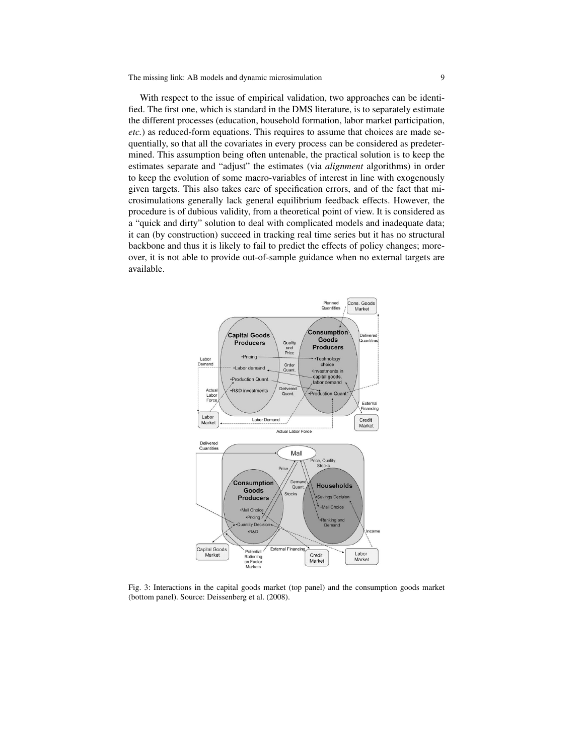With respect to the issue of empirical validation, two approaches can be identified. The first one, which is standard in the DMS literature, is to separately estimate the different processes (education, household formation, labor market participation, *etc.*) as reduced-form equations. This requires to assume that choices are made sequentially, so that all the covariates in every process can be considered as predetermined. This assumption being often untenable, the practical solution is to keep the estimates separate and "adjust" the estimates (via *alignment* algorithms) in order to keep the evolution of some macro-variables of interest in line with exogenously given targets. This also takes care of specification errors, and of the fact that microsimulations generally lack general equilibrium feedback effects. However, the procedure is of dubious validity, from a theoretical point of view. It is considered as a "quick and dirty" solution to deal with complicated models and inadequate data; it can (by construction) succeed in tracking real time series but it has no structural backbone and thus it is likely to fail to predict the effects of policy changes; moreover, it is not able to provide out-of-sample guidance when no external targets are available.



Fig. 3: Interactions in the capital goods market (top panel) and the consumption goods market (bottom panel). Source: Deissenberg et al. (2008).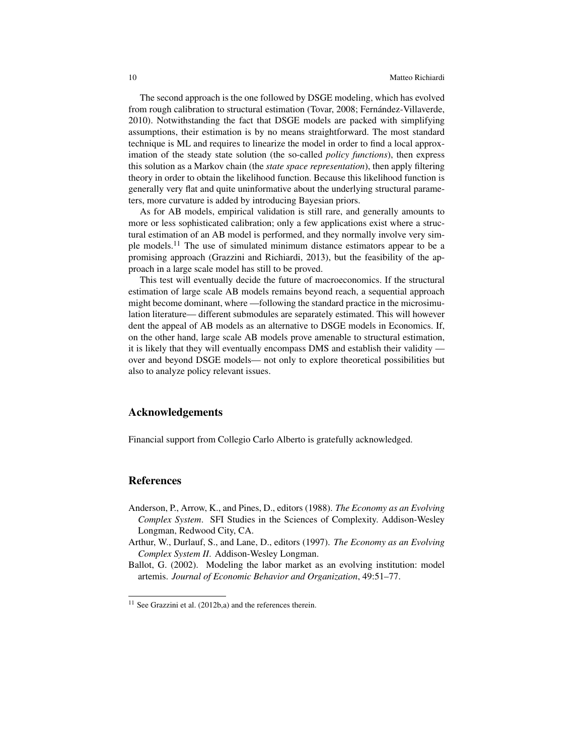The second approach is the one followed by DSGE modeling, which has evolved from rough calibration to structural estimation (Tovar, 2008; Fernández-Villaverde, 2010). Notwithstanding the fact that DSGE models are packed with simplifying assumptions, their estimation is by no means straightforward. The most standard technique is ML and requires to linearize the model in order to find a local approximation of the steady state solution (the so-called *policy functions*), then express this solution as a Markov chain (the *state space representation*), then apply filtering theory in order to obtain the likelihood function. Because this likelihood function is generally very flat and quite uninformative about the underlying structural parameters, more curvature is added by introducing Bayesian priors.

As for AB models, empirical validation is still rare, and generally amounts to more or less sophisticated calibration; only a few applications exist where a structural estimation of an AB model is performed, and they normally involve very simple models.<sup>11</sup> The use of simulated minimum distance estimators appear to be a promising approach (Grazzini and Richiardi, 2013), but the feasibility of the approach in a large scale model has still to be proved.

This test will eventually decide the future of macroeconomics. If the structural estimation of large scale AB models remains beyond reach, a sequential approach might become dominant, where —following the standard practice in the microsimulation literature— different submodules are separately estimated. This will however dent the appeal of AB models as an alternative to DSGE models in Economics. If, on the other hand, large scale AB models prove amenable to structural estimation, it is likely that they will eventually encompass DMS and establish their validity over and beyond DSGE models— not only to explore theoretical possibilities but also to analyze policy relevant issues.

### Acknowledgements

Financial support from Collegio Carlo Alberto is gratefully acknowledged.

#### References

- Anderson, P., Arrow, K., and Pines, D., editors (1988). *The Economy as an Evolving Complex System*. SFI Studies in the Sciences of Complexity. Addison-Wesley Longman, Redwood City, CA.
- Arthur, W., Durlauf, S., and Lane, D., editors (1997). *The Economy as an Evolving Complex System II*. Addison-Wesley Longman.
- Ballot, G. (2002). Modeling the labor market as an evolving institution: model artemis. *Journal of Economic Behavior and Organization*, 49:51–77.

 $11$  See Grazzini et al. (2012b,a) and the references therein.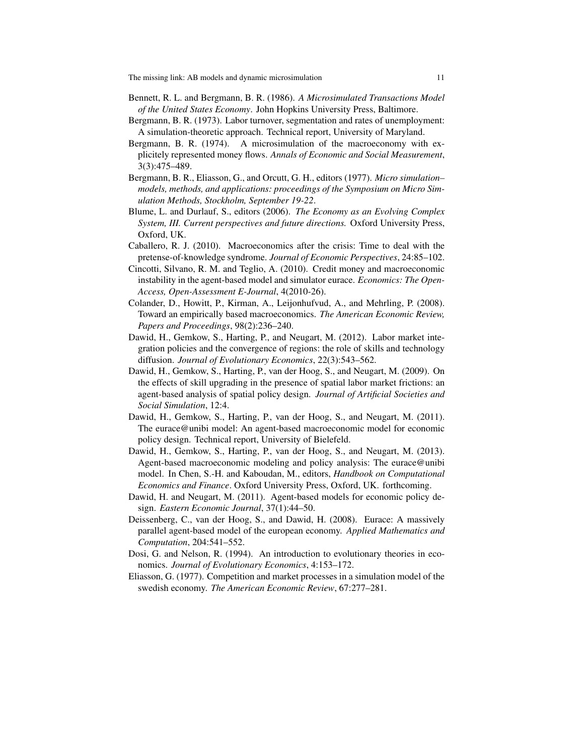- Bennett, R. L. and Bergmann, B. R. (1986). *A Microsimulated Transactions Model of the United States Economy*. John Hopkins University Press, Baltimore.
- Bergmann, B. R. (1973). Labor turnover, segmentation and rates of unemployment: A simulation-theoretic approach. Technical report, University of Maryland.
- Bergmann, B. R. (1974). A microsimulation of the macroeconomy with explicitely represented money flows. *Annals of Economic and Social Measurement*, 3(3):475–489.
- Bergmann, B. R., Eliasson, G., and Orcutt, G. H., editors (1977). *Micro simulation– models, methods, and applications: proceedings of the Symposium on Micro Simulation Methods, Stockholm, September 19-22*.
- Blume, L. and Durlauf, S., editors (2006). *The Economy as an Evolving Complex System, III. Current perspectives and future directions.* Oxford University Press, Oxford, UK.
- Caballero, R. J. (2010). Macroeconomics after the crisis: Time to deal with the pretense-of-knowledge syndrome. *Journal of Economic Perspectives*, 24:85–102.
- Cincotti, Silvano, R. M. and Teglio, A. (2010). Credit money and macroeconomic instability in the agent-based model and simulator eurace. *Economics: The Open-Access, Open-Assessment E-Journal*, 4(2010-26).
- Colander, D., Howitt, P., Kirman, A., Leijonhufvud, A., and Mehrling, P. (2008). Toward an empirically based macroeconomics. *The American Economic Review, Papers and Proceedings*, 98(2):236–240.
- Dawid, H., Gemkow, S., Harting, P., and Neugart, M. (2012). Labor market integration policies and the convergence of regions: the role of skills and technology diffusion. *Journal of Evolutionary Economics*, 22(3):543–562.
- Dawid, H., Gemkow, S., Harting, P., van der Hoog, S., and Neugart, M. (2009). On the effects of skill upgrading in the presence of spatial labor market frictions: an agent-based analysis of spatial policy design. *Journal of Artificial Societies and Social Simulation*, 12:4.
- Dawid, H., Gemkow, S., Harting, P., van der Hoog, S., and Neugart, M. (2011). The eurace@unibi model: An agent-based macroeconomic model for economic policy design. Technical report, University of Bielefeld.
- Dawid, H., Gemkow, S., Harting, P., van der Hoog, S., and Neugart, M. (2013). Agent-based macroeconomic modeling and policy analysis: The eurace@unibi model. In Chen, S.-H. and Kaboudan, M., editors, *Handbook on Computational Economics and Finance*. Oxford University Press, Oxford, UK. forthcoming.
- Dawid, H. and Neugart, M. (2011). Agent-based models for economic policy design. *Eastern Economic Journal*, 37(1):44–50.
- Deissenberg, C., van der Hoog, S., and Dawid, H. (2008). Eurace: A massively parallel agent-based model of the european economy. *Applied Mathematics and Computation*, 204:541–552.
- Dosi, G. and Nelson, R. (1994). An introduction to evolutionary theories in economics. *Journal of Evolutionary Economics*, 4:153–172.
- Eliasson, G. (1977). Competition and market processes in a simulation model of the swedish economy. *The American Economic Review*, 67:277–281.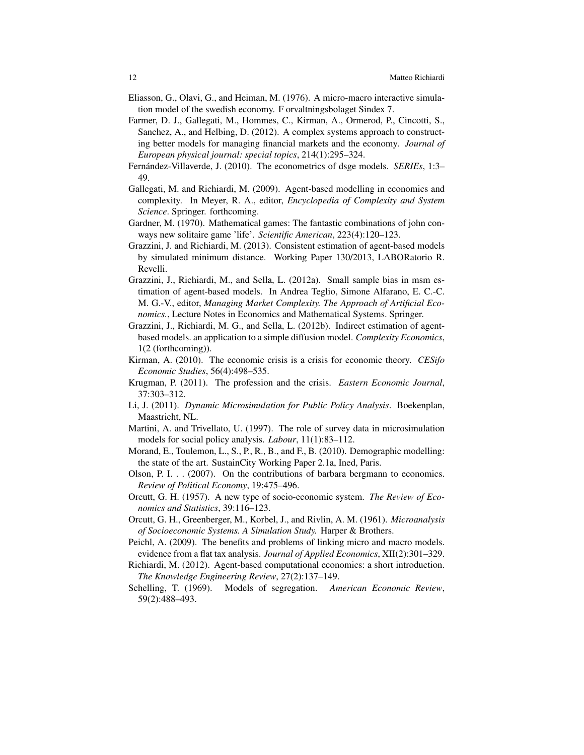- Eliasson, G., Olavi, G., and Heiman, M. (1976). A micro-macro interactive simulation model of the swedish economy. F orvaltningsbolaget Sindex 7.
- Farmer, D. J., Gallegati, M., Hommes, C., Kirman, A., Ormerod, P., Cincotti, S., Sanchez, A., and Helbing, D. (2012). A complex systems approach to constructing better models for managing financial markets and the economy. *Journal of European physical journal: special topics*, 214(1):295–324.
- Fernández-Villaverde, J. (2010). The econometrics of dsge models. *SERIEs*, 1:3– 49.
- Gallegati, M. and Richiardi, M. (2009). Agent-based modelling in economics and complexity. In Meyer, R. A., editor, *Encyclopedia of Complexity and System Science*. Springer. forthcoming.
- Gardner, M. (1970). Mathematical games: The fantastic combinations of john conways new solitaire game 'life'. *Scientific American*, 223(4):120–123.
- Grazzini, J. and Richiardi, M. (2013). Consistent estimation of agent-based models by simulated minimum distance. Working Paper 130/2013, LABORatorio R. Revelli.
- Grazzini, J., Richiardi, M., and Sella, L. (2012a). Small sample bias in msm estimation of agent-based models. In Andrea Teglio, Simone Alfarano, E. C.-C. M. G.-V., editor, *Managing Market Complexity. The Approach of Artificial Economics.*, Lecture Notes in Economics and Mathematical Systems. Springer.
- Grazzini, J., Richiardi, M. G., and Sella, L. (2012b). Indirect estimation of agentbased models. an application to a simple diffusion model. *Complexity Economics*, 1(2 (forthcoming)).
- Kirman, A. (2010). The economic crisis is a crisis for economic theory. *CESifo Economic Studies*, 56(4):498–535.
- Krugman, P. (2011). The profession and the crisis. *Eastern Economic Journal*, 37:303–312.
- Li, J. (2011). *Dynamic Microsimulation for Public Policy Analysis*. Boekenplan, Maastricht, NL.
- Martini, A. and Trivellato, U. (1997). The role of survey data in microsimulation models for social policy analysis. *Labour*, 11(1):83–112.
- Morand, E., Toulemon, L., S., P., R., B., and F., B. (2010). Demographic modelling: the state of the art. SustainCity Working Paper 2.1a, Ined, Paris.
- Olson, P. I. . . (2007). On the contributions of barbara bergmann to economics. *Review of Political Economy*, 19:475–496.
- Orcutt, G. H. (1957). A new type of socio-economic system. *The Review of Economics and Statistics*, 39:116–123.
- Orcutt, G. H., Greenberger, M., Korbel, J., and Rivlin, A. M. (1961). *Microanalysis of Socioeconomic Systems. A Simulation Study.* Harper & Brothers.
- Peichl, A. (2009). The benefits and problems of linking micro and macro models. evidence from a flat tax analysis. *Journal of Applied Economics*, XII(2):301–329.
- Richiardi, M. (2012). Agent-based computational economics: a short introduction. *The Knowledge Engineering Review*, 27(2):137–149.
- Schelling, T. (1969). Models of segregation. *American Economic Review*, 59(2):488–493.